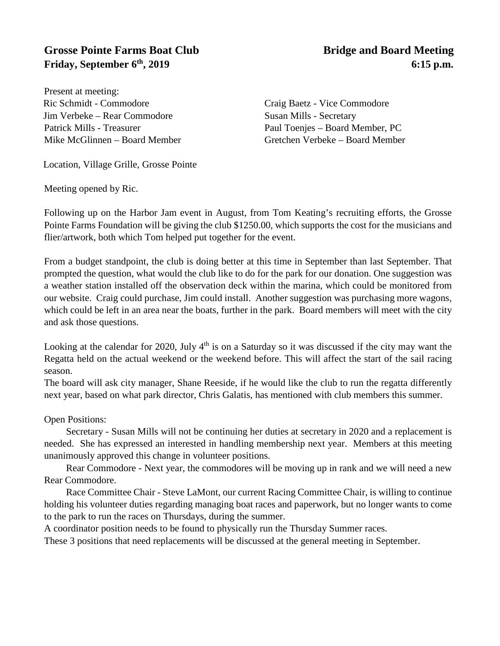## **Grosse Pointe Farms Boat Club** Bridge and Board Meeting **Friday, September 6<sup>th</sup>, 2019** 6:15 **p.m.**

Present at meeting: Ric Schmidt - Commodore Craig Baetz - Vice Commodore Jim Verbeke – Rear Commodore Susan Mills - Secretary Patrick Mills - Treasurer Paul Toenjes – Board Member, PC

Location, Village Grille, Grosse Pointe

Meeting opened by Ric.

Mike McGlinnen – Board Member Gretchen Verbeke – Board Member

Following up on the Harbor Jam event in August, from Tom Keating's recruiting efforts, the Grosse Pointe Farms Foundation will be giving the club \$1250.00, which supports the cost for the musicians and flier/artwork, both which Tom helped put together for the event.

From a budget standpoint, the club is doing better at this time in September than last September. That prompted the question, what would the club like to do for the park for our donation. One suggestion was a weather station installed off the observation deck within the marina, which could be monitored from our website. Craig could purchase, Jim could install. Another suggestion was purchasing more wagons, which could be left in an area near the boats, further in the park. Board members will meet with the city and ask those questions.

Looking at the calendar for 2020, July  $4<sup>th</sup>$  is on a Saturday so it was discussed if the city may want the Regatta held on the actual weekend or the weekend before. This will affect the start of the sail racing season.

The board will ask city manager, Shane Reeside, if he would like the club to run the regatta differently next year, based on what park director, Chris Galatis, has mentioned with club members this summer.

Open Positions:

Secretary - Susan Mills will not be continuing her duties at secretary in 2020 and a replacement is needed. She has expressed an interested in handling membership next year. Members at this meeting unanimously approved this change in volunteer positions.

Rear Commodore - Next year, the commodores will be moving up in rank and we will need a new Rear Commodore.

Race Committee Chair - Steve LaMont, our current Racing Committee Chair, is willing to continue holding his volunteer duties regarding managing boat races and paperwork, but no longer wants to come to the park to run the races on Thursdays, during the summer.

A coordinator position needs to be found to physically run the Thursday Summer races.

These 3 positions that need replacements will be discussed at the general meeting in September.